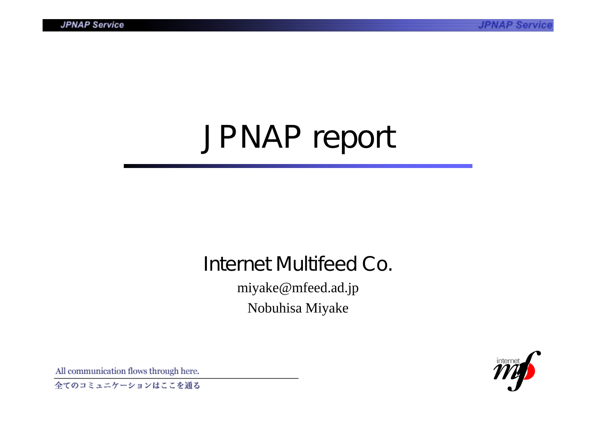# JPNAP report

# Internet Multifeed Co.

miyake@mfeed.ad.jp Nobuhisa Miyake



All communication flows through here.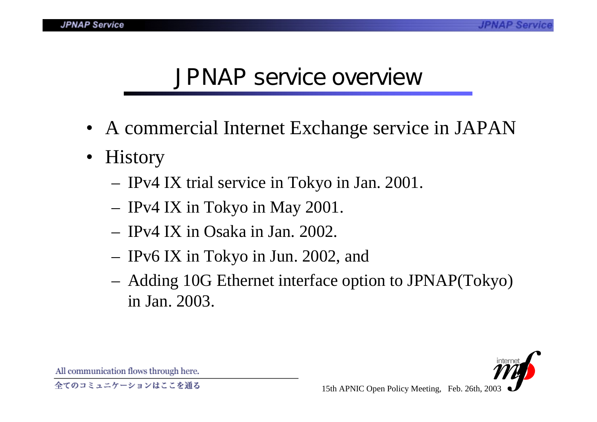#### **JPNAP Service**

### JPNAP service overview

- A commercial Internet Exchange service in JAPAN
- $\bullet$ **History** 
	- IPv4 IX trial service in Tokyo in Jan. 2001.
	- IPv4 IX in Tokyo in May 2001.
	- IPv4 IX in Osaka in Jan. 2002.
	- IPv6 IX in Tokyo in Jun. 2002, and
	- Adding 10G Ethernet interface option to JPNAP(Tokyo) in Jan. 2003.

All communication flows through here.

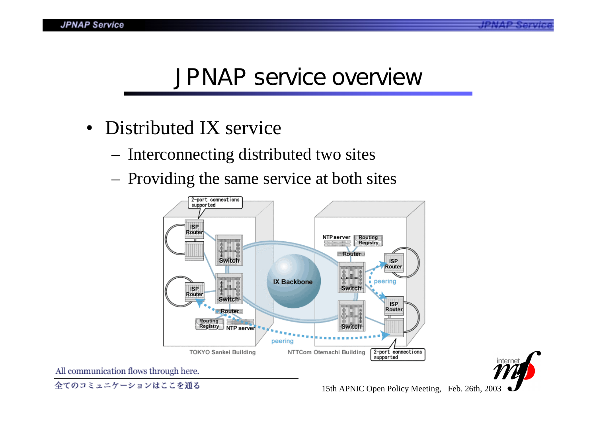### JPNAP service overview

- Distributed IX service
	- Interconnecting distributed two sites
	- Providing the same service at both sites

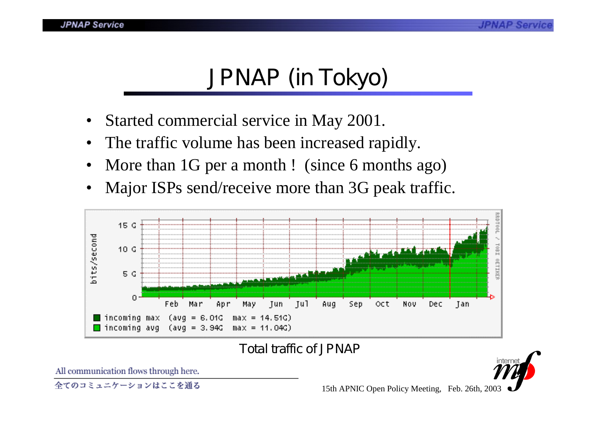# JPNAP (in Tokyo)

- Started commercial service in May 2001.
- •The traffic volume has been increased rapidly.
- •More than 1G per a month! (since 6 months ago)
- •Major ISPs send/receive more than 3G peak traffic.



Total traffic of JPNAP

All communication flows through here.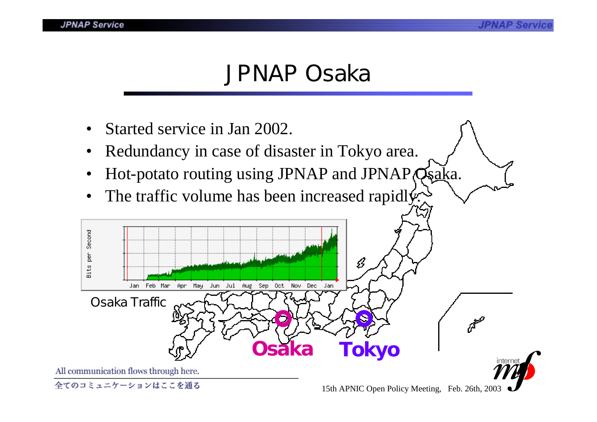### JPNAP Osaka

- •Started service in Jan 2002.
- •Redundancy in case of disaster in Tokyo area.
- •Hot-potato routing using JPNAP and JPNAP Qsaka.
- $\bullet$ The traffic volume has been increased rapidly.

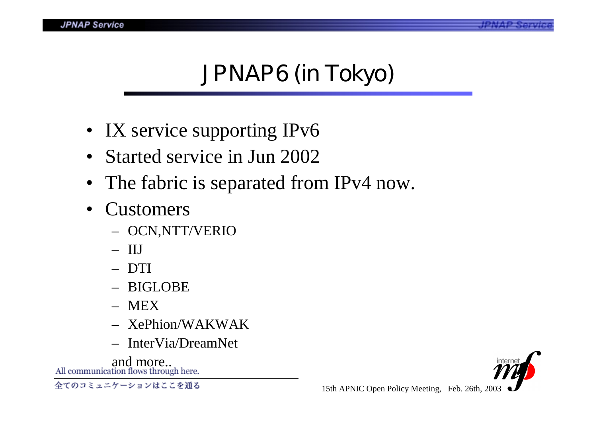## JPNAP6 (in Tokyo)

- IX service supporting IPv6
- Started service in Jun 2002
- The fabric is separated from IPv4 now.
- • Customers
	- OCN,NTT/VERIO
	- IIJ
	- DTI
	- BIGLOBE
	- MEX
	- XePhion/WAKWAK
	- InterVia/DreamNet

and more...<br>All communication flows through here.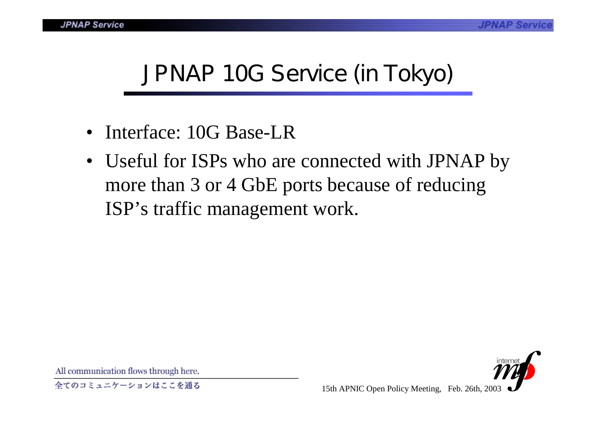# JPNAP 10G Service (in Tokyo)

- Interface: 10G Base-LR
- Useful for ISPs who are connected with JPNAP by more than 3 or 4 GbE ports because of reducing ISP's traffic management work.

All communication flows through here.